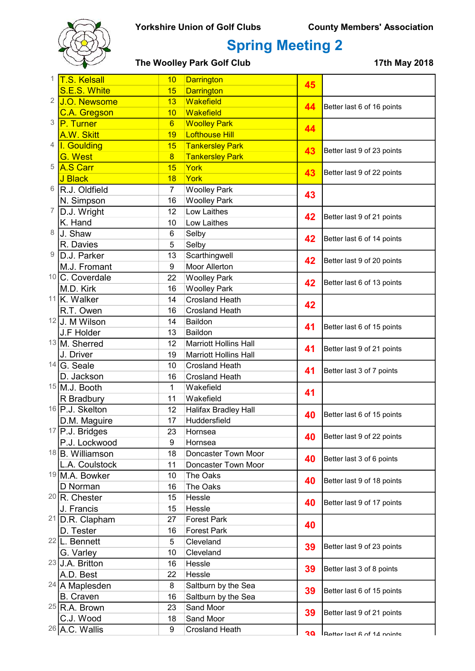

## Spring Meeting 2

The Woolley Park Golf Club 17th May 2018

| 1              | <b>T.S. Kelsall</b>           | 10              | <b>Darrington</b>                  | 45 |                            |
|----------------|-------------------------------|-----------------|------------------------------------|----|----------------------------|
|                | S.E.S. White                  | 15              | <b>Darrington</b>                  |    |                            |
| $\overline{2}$ | J.O. Newsome                  | 13              | Wakefield                          | 44 | Better last 6 of 16 points |
|                | <b>C.A. Gregson</b>           | 10              | Wakefield                          |    |                            |
| 3              | <b>P.</b> Turner              | $6\overline{6}$ | <b>Woolley Park</b>                | 44 |                            |
|                | A.W. Skitt                    | 19              | <b>Lofthouse Hill</b>              |    |                            |
| 4              | I. Goulding                   | 15              | <b>Tankersley Park</b>             | 43 | Better last 9 of 23 points |
|                | G. West                       | $\overline{8}$  | <b>Tankersley Park</b>             |    |                            |
| 5              | <b>A.S Carr</b>               | 15              | York                               | 43 | Better last 9 of 22 points |
|                | J Black                       | 18              | York                               |    |                            |
| 6              | R.J. Oldfield                 | $\overline{7}$  | <b>Woolley Park</b>                | 43 |                            |
|                | N. Simpson                    | 16              | <b>Woolley Park</b>                |    |                            |
| 7              | D.J. Wright                   | 12              | Low Laithes                        | 42 | Better last 9 of 21 points |
|                | K. Hand                       | 10              | Low Laithes                        |    |                            |
| 8              | J. Shaw                       | $6\phantom{1}$  | Selby                              | 42 | Better last 6 of 14 points |
|                | R. Davies                     | 5               | Selby                              |    |                            |
| 9              | D.J. Parker                   | 13              | Scarthingwell                      | 42 | Better last 9 of 20 points |
|                | M.J. Fromant                  | 9               | Moor Allerton                      |    |                            |
|                | <sup>10</sup> C. Coverdale    | 22              | <b>Woolley Park</b>                | 42 | Better last 6 of 13 points |
|                | M.D. Kirk                     | 16              | <b>Woolley Park</b>                |    |                            |
|                | $11$ <sub>K.</sub> Walker     | 14              | <b>Crosland Heath</b>              | 42 |                            |
|                | R.T. Owen                     | 16              | <b>Crosland Heath</b>              |    |                            |
|                | 12J. M Wilson                 | 14              | Baildon                            | 41 | Better last 6 of 15 points |
|                | J.F Holder                    | 13              | Baildon                            |    |                            |
|                | 13 M. Sherred                 | 12              | <b>Marriott Hollins Hall</b>       | 41 | Better last 9 of 21 points |
|                | J. Driver                     | 19              | <b>Marriott Hollins Hall</b>       |    |                            |
|                | $14$ G. Seale                 | 10              | <b>Crosland Heath</b>              | 41 | Better last 3 of 7 points  |
|                | D. Jackson<br>$15$ M.J. Booth | 16              | <b>Crosland Heath</b><br>Wakefield |    |                            |
|                |                               | 1<br>11         | Wakefield                          | 41 |                            |
|                | R Bradbury<br>16 P.J. Skelton | 12              | Halifax Bradley Hall               |    |                            |
|                | D.M. Maguire                  | 17              | Huddersfield                       | 40 | Better last 6 of 15 points |
|                | $17$ P.J. Bridges             | 23              | Hornsea                            |    |                            |
|                | P.J. Lockwood                 | 9               | Hornsea                            | 40 | Better last 9 of 22 points |
|                | <sup>18</sup> B. Williamson   | 18              | Doncaster Town Moor                |    |                            |
|                | L.A. Coulstock                | 11              | Doncaster Town Moor                | 40 | Better last 3 of 6 points  |
|                | <sup>19</sup> M.A. Bowker     | 10              | The Oaks                           |    |                            |
|                | D Norman                      | 16              | The Oaks                           | 40 | Better last 9 of 18 points |
|                | $20$ R. Chester               | 15              | Hessle                             |    |                            |
|                | J. Francis                    | 15              | Hessle                             | 40 | Better last 9 of 17 points |
|                | <sup>21</sup> D.R. Clapham    | 27              | <b>Forest Park</b>                 |    |                            |
|                | D. Tester                     | 16              | <b>Forest Park</b>                 | 40 |                            |
|                | $22$  L. Bennett              | 5               | Cleveland                          |    |                            |
|                | G. Varley                     | 10              | Cleveland                          | 39 | Better last 9 of 23 points |
|                | 23 J.A. Britton               | 16              | Hessle                             |    |                            |
|                | A.D. Best                     | 22              | Hessle                             | 39 | Better last 3 of 8 points  |
|                | $24$ A Maplesden              | 8               | Saltburn by the Sea                |    |                            |
|                | <b>B.</b> Craven              | 16              | Saltburn by the Sea                | 39 | Better last 6 of 15 points |
|                | $25$ R.A. Brown               | 23              | Sand Moor                          |    |                            |
|                | C.J. Wood                     | 18              | Sand Moor                          | 39 | Better last 9 of 21 points |
|                | 26 A.C. Wallis                | 9               | <b>Crosland Heath</b>              |    |                            |
|                |                               |                 |                                    | 50 | Retter last R of 14 noints |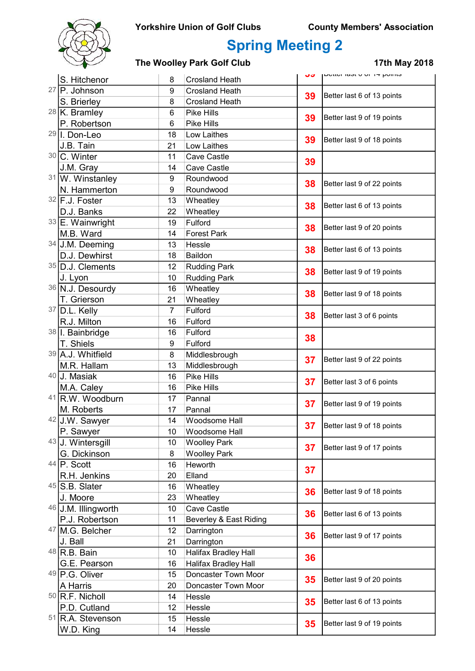

# Spring Meeting 2

### The Woolley Park Golf Club 17th May 2018

|    | S. Hitchenor                      | 8                | <b>Crosland Heath</b>       | しご       | μυνιινι τασι ν νι τη μνιπισ   |
|----|-----------------------------------|------------------|-----------------------------|----------|-------------------------------|
|    | $27$ P. Johnson                   | $\boldsymbol{9}$ | <b>Crosland Heath</b>       |          |                               |
|    | S. Brierley                       | 8                | <b>Crosland Heath</b>       | 39<br>39 | Better last 6 of 13 points    |
|    | $28$ K. Bramley                   | $6\phantom{1}$   | <b>Pike Hills</b>           |          |                               |
|    | P. Robertson                      | 6                | Pike Hills                  |          | Better last 9 of 19 points    |
|    | 29 I. Don-Leo                     | 18               | Low Laithes                 | 39       |                               |
|    | J.B. Tain                         | 21               | Low Laithes                 |          | Better last 9 of 18 points    |
|    | 30 C. Winter                      | 11               | Cave Castle                 |          |                               |
|    | J.M. Gray                         | 14               | <b>Cave Castle</b>          | 39       |                               |
|    | 31 W. Winstanley                  | 9                | Roundwood                   |          |                               |
|    | N. Hammerton                      | 9                | Roundwood                   | 38       | Better last 9 of 22 points    |
|    | 32 F.J. Foster                    | 13               | Wheatley                    |          |                               |
|    | D.J. Banks                        | 22               | Wheatley                    | 38       | Better last 6 of 13 points    |
|    | 33 E. Wainwright                  | 19               | Fulford                     |          |                               |
|    | M.B. Ward                         | 14               | <b>Forest Park</b>          | 38       | Better last 9 of 20 points    |
|    |                                   |                  |                             |          |                               |
|    | 34 J.M. Deeming                   | 13               | Hessle<br>Baildon           | 38       | Better last 6 of 13 points    |
|    | D.J. Dewhirst<br>35 D.J. Clements | 18<br>12         | <b>Rudding Park</b>         |          |                               |
|    |                                   |                  |                             | 38       | Better last 9 of 19 points    |
|    | J. Lyon                           | 10               | <b>Rudding Park</b>         |          |                               |
|    | 36 N.J. Desourdy                  | 16               | Wheatley                    | 38       | Better last 9 of 18 points    |
|    | T. Grierson                       | 21               | Wheatley                    |          |                               |
|    | $37$ D.L. Kelly                   | $\overline{7}$   | Fulford                     | 38       | Better last 3 of 6 points     |
|    | R.J. Milton                       | 16               | Fulford                     |          |                               |
|    | 38   I. Bainbridge                | 16               | Fulford                     | 38       |                               |
|    | T. Shiels                         | 9                | Fulford                     |          |                               |
|    | 39 A.J. Whitfield                 | 8                | Middlesbrough               | 37       | Better last 9 of 22 points    |
|    | M.R. Hallam                       | 13               | Middlesbrough               |          |                               |
|    | 40 J. Masiak                      | 16               | Pike Hills                  | 37       | Better last 3 of 6 points     |
|    | M.A. Caley                        | 16               | Pike Hills                  |          |                               |
|    | 41 R.W. Woodburn                  | 17               | Pannal                      | 37       | Better last 9 of 19 points    |
|    | M. Roberts                        | 17               | Pannal                      |          |                               |
|    | 42 J.W. Sawyer                    | 14               | Woodsome Hall               |          | 37 Better last 9 of 18 points |
|    | P. Sawyer                         | 10               | Woodsome Hall               |          |                               |
|    | 43 J. Wintersgill                 | 10               | <b>Woolley Park</b>         | 37       | Better last 9 of 17 points    |
|    | G. Dickinson                      | 8                | <b>Woolley Park</b>         |          |                               |
|    | $44$ P. Scott                     | 16               | Heworth                     | 37       |                               |
|    | R.H. Jenkins                      | 20               | Elland                      |          |                               |
|    | 45 S.B. Slater                    | 16               | Wheatley                    |          |                               |
|    | J. Moore                          | 23               | Wheatley                    | 36       | Better last 9 of 18 points    |
|    | 46 J.M. Illingworth               | 10               | Cave Castle                 |          |                               |
|    | P.J. Robertson                    | 11               | Beverley & East Riding      | 36       | Better last 6 of 13 points    |
| 47 | M.G. Belcher                      | 12               | Darrington                  |          |                               |
|    | J. Ball                           | 21               | Darrington                  | 36       | Better last 9 of 17 points    |
|    | $48$ R.B. Bain                    | 10               | <b>Halifax Bradley Hall</b> | 36       |                               |
|    | G.E. Pearson                      | 16               | <b>Halifax Bradley Hall</b> |          |                               |
|    | 49 P.G. Oliver                    | 15               | Doncaster Town Moor         |          | Better last 9 of 20 points    |
|    | A Harris                          | 20               | Doncaster Town Moor         | 35       |                               |
|    | $50$ R.F. Nicholl                 | 14               | Hessle                      | 35       | Better last 6 of 13 points    |
|    | P.D. Cutland                      | 12               | Hessle                      |          |                               |
|    | 51 R.A. Stevenson                 | 15               | Hessle                      | 35       |                               |
|    | W.D. King                         | 14               | Hessle                      |          | Better last 9 of 19 points    |
|    |                                   |                  |                             |          |                               |